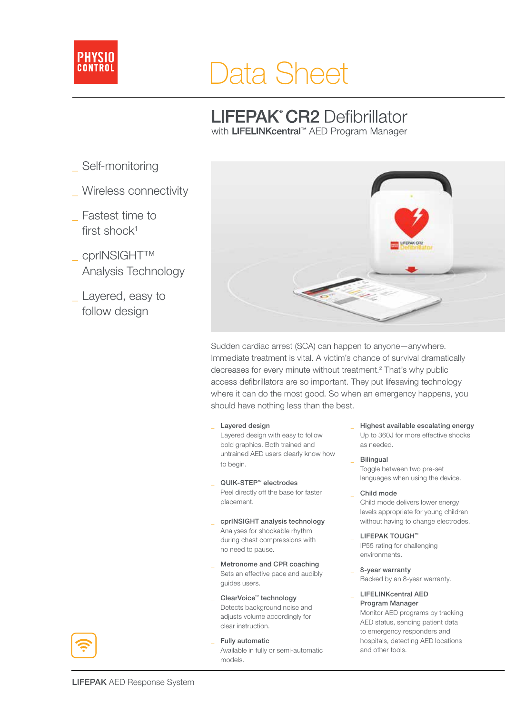

# Data Sheet

## **LIFEPAK<sup>®</sup>CR2** Defibrillator

with LIFELINKcentral™ AED Program Manager

- Self-monitoring
- Wireless connectivity
- Fastest time to first shock $1$
- cprINSIGHT™ Analysis Technology
- \_ Layered, easy to follow design



Sudden cardiac arrest (SCA) can happen to anyone—anywhere. Immediate treatment is vital. A victim's chance of survival dramatically decreases for every minute without treatment.2 That's why public access defibrillators are so important. They put lifesaving technology where it can do the most good. So when an emergency happens, you should have nothing less than the best.

Layered design

Layered design with easy to follow bold graphics. Both trained and untrained AED users clearly know how to begin.

- QUIK-STEP™ electrodes Peel directly off the base for faster placement.
- cprINSIGHT analysis technology Analyses for shockable rhythm during chest compressions with no need to pause.
- Metronome and CPR coaching Sets an effective pace and audibly guides users.
- ClearVoice™ technology Detects background noise and adjusts volume accordingly for clear instruction.
- Fully automatic Available in fully or semi-automatic models.
- Highest available escalating energy Up to 360J for more effective shocks as needed.
- **Bilingual** Toggle between two pre-set languages when using the device.
- Child mode Child mode delivers lower energy levels appropriate for young children without having to change electrodes.
- LIFEPAK TOUGH™ IP55 rating for challenging environments.
- \_ 8-year warranty Backed by an 8-year warranty.
	- LIFELINKcentral AED Program Manager Monitor AED programs by tracking AED status, sending patient data to emergency responders and hospitals, detecting AED locations and other tools.